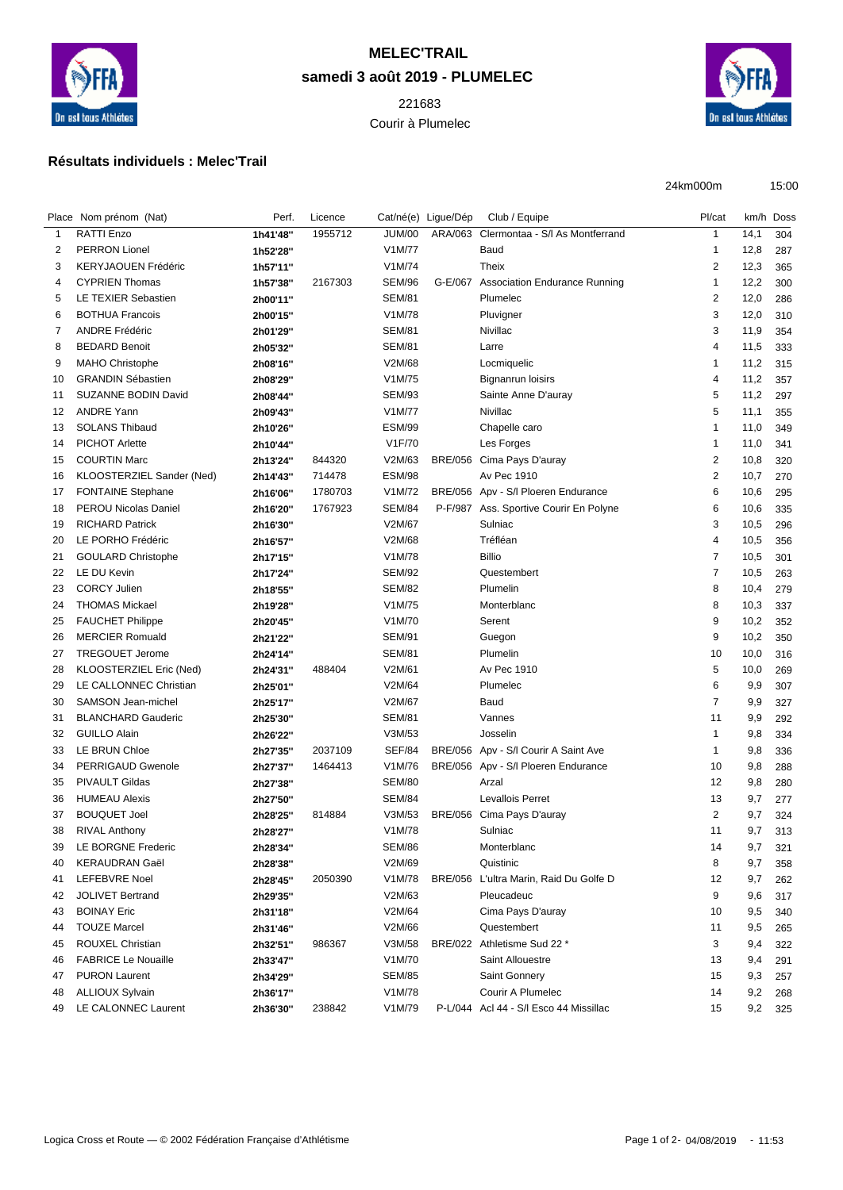

## **MELEC'TRAIL samedi 3 août 2019 - PLUMELEC**

 Courir à Plumelec



24km000m 15:00

## **Résultats individuels : Melec'Trail**

|    | Place Nom prénom (Nat)      | Perf.    | Licence |               | Cat/né(e) Ligue/Dép | Club / Equipe                          | Pl/cat                  | km/h Doss |     |
|----|-----------------------------|----------|---------|---------------|---------------------|----------------------------------------|-------------------------|-----------|-----|
| 1  | RATTI Enzo                  | 1h41'48" | 1955712 | <b>JUM/00</b> | ARA/063             | Clermontaa - S/I As Montferrand        | $\mathbf{1}$            | 14,1      | 304 |
| 2  | <b>PERRON Lionel</b>        | 1h52'28" |         | V1M/77        |                     | Baud                                   | 1                       | 12,8      | 287 |
| 3  | <b>KERYJAOUEN Frédéric</b>  | 1h57'11" |         | V1M/74        |                     | <b>Theix</b>                           | $\overline{\mathbf{c}}$ | 12,3      | 365 |
| 4  | <b>CYPRIEN Thomas</b>       | 1h57'38" | 2167303 | SEM/96        |                     | G-E/067 Association Endurance Running  | 1                       | 12,2      | 300 |
| 5  | LE TEXIER Sebastien         | 2h00'11" |         | <b>SEM/81</b> |                     | Plumelec                               | $\overline{2}$          | 12,0      | 286 |
| 6  | <b>BOTHUA Francois</b>      | 2h00'15" |         | V1M/78        |                     | Pluvigner                              | 3                       | 12,0      | 310 |
| 7  | <b>ANDRE Frédéric</b>       | 2h01'29" |         | <b>SEM/81</b> |                     | Nivillac                               | 3                       | 11,9      | 354 |
| 8  | <b>BEDARD Benoit</b>        | 2h05'32" |         | <b>SEM/81</b> |                     | Larre                                  | 4                       | 11,5      | 333 |
| 9  | <b>MAHO Christophe</b>      | 2h08'16" |         | V2M/68        |                     | Locmiquelic                            | 1                       | 11,2      | 315 |
| 10 | <b>GRANDIN Sébastien</b>    | 2h08'29" |         | V1M/75        |                     | <b>Bignanrun loisirs</b>               | 4                       | 11,2      | 357 |
| 11 | <b>SUZANNE BODIN David</b>  | 2h08'44" |         | <b>SEM/93</b> |                     | Sainte Anne D'auray                    | 5                       | 11,2      | 297 |
| 12 | <b>ANDRE Yann</b>           | 2h09'43" |         | V1M/77        |                     | Nivillac                               | 5                       | 11,1      | 355 |
| 13 | <b>SOLANS Thibaud</b>       | 2h10'26" |         | <b>ESM/99</b> |                     | Chapelle caro                          | 1                       | 11,0      | 349 |
| 14 | <b>PICHOT Arlette</b>       | 2h10'44" |         | V1F/70        |                     | Les Forges                             | $\mathbf 1$             | 11,0      | 341 |
| 15 | <b>COURTIN Marc</b>         | 2h13'24" | 844320  | V2M/63        | <b>BRE/056</b>      | Cima Pays D'auray                      | $\overline{\mathbf{c}}$ | 10,8      | 320 |
| 16 | KLOOSTERZIEL Sander (Ned)   | 2h14'43" | 714478  | <b>ESM/98</b> |                     | Av Pec 1910                            | $\overline{\mathbf{c}}$ | 10,7      | 270 |
| 17 | <b>FONTAINE Stephane</b>    | 2h16'06" | 1780703 | V1M/72        |                     | BRE/056 Apv - S/I Ploeren Endurance    | 6                       | 10,6      | 295 |
| 18 | <b>PEROU Nicolas Daniel</b> | 2h16'20" | 1767923 | <b>SEM/84</b> | P-F/987             | Ass. Sportive Courir En Polyne         | 6                       | 10,6      | 335 |
| 19 | <b>RICHARD Patrick</b>      | 2h16'30" |         | V2M/67        |                     | Sulniac                                | 3                       | 10,5      | 296 |
| 20 | LE PORHO Frédéric           | 2h16'57" |         | V2M/68        |                     | Tréfléan                               | 4                       | 10,5      | 356 |
| 21 | <b>GOULARD Christophe</b>   | 2h17'15" |         | V1M/78        |                     | <b>Billio</b>                          | $\overline{7}$          | 10,5      | 301 |
| 22 | LE DU Kevin                 | 2h17'24" |         | <b>SEM/92</b> |                     | Questembert                            | 7                       | 10,5      | 263 |
| 23 | <b>CORCY Julien</b>         | 2h18'55" |         | <b>SEM/82</b> |                     | Plumelin                               | 8                       | 10,4      | 279 |
| 24 | <b>THOMAS Mickael</b>       | 2h19'28" |         | V1M/75        |                     | Monterblanc                            | 8                       | 10,3      | 337 |
| 25 | <b>FAUCHET Philippe</b>     | 2h20'45" |         | V1M/70        |                     | Serent                                 | 9                       | 10,2      | 352 |
| 26 | <b>MERCIER Romuald</b>      | 2h21'22" |         | SEM/91        |                     | Guegon                                 | 9                       | 10,2      | 350 |
| 27 | <b>TREGOUET Jerome</b>      | 2h24'14" |         | <b>SEM/81</b> |                     | Plumelin                               | 10                      | 10,0      | 316 |
| 28 | KLOOSTERZIEL Eric (Ned)     | 2h24'31" | 488404  | V2M/61        |                     | Av Pec 1910                            | 5                       | 10,0      | 269 |
| 29 | LE CALLONNEC Christian      | 2h25'01" |         | V2M/64        |                     | Plumelec                               | 6                       | 9,9       | 307 |
| 30 | SAMSON Jean-michel          | 2h25'17" |         | V2M/67        |                     | Baud                                   | 7                       | 9,9       | 327 |
| 31 | <b>BLANCHARD Gauderic</b>   | 2h25'30" |         | <b>SEM/81</b> |                     | Vannes                                 | 11                      | 9,9       | 292 |
| 32 | <b>GUILLO Alain</b>         | 2h26'22" |         | V3M/53        |                     | Josselin                               | 1                       | 9,8       | 334 |
| 33 | LE BRUN Chloe               | 2h27'35" | 2037109 | <b>SEF/84</b> | <b>BRE/056</b>      | Apv - S/I Courir A Saint Ave           | 1                       | 9,8       | 336 |
| 34 | PERRIGAUD Gwenole           | 2h27'37" | 1464413 | V1M/76        |                     | BRE/056 Apv - S/I Ploeren Endurance    | 10                      | 9,8       | 288 |
| 35 | <b>PIVAULT Gildas</b>       | 2h27'38" |         | <b>SEM/80</b> |                     | Arzal                                  | 12                      | 9,8       | 280 |
| 36 | <b>HUMEAU Alexis</b>        | 2h27'50" |         | <b>SEM/84</b> |                     | <b>Levallois Perret</b>                | 13                      | 9,7       | 277 |
| 37 | <b>BOUQUET Joel</b>         | 2h28'25" | 814884  | V3M/53        | <b>BRE/056</b>      | Cima Pays D'auray                      | $\overline{\mathbf{c}}$ | 9,7       | 324 |
| 38 | <b>RIVAL Anthony</b>        | 2h28'27" |         | V1M/78        |                     | Sulniac                                | 11                      | 9,7       | 313 |
| 39 | LE BORGNE Frederic          | 2h28'34" |         | <b>SEM/86</b> |                     | Monterblanc                            | 14                      | 9,7       | 321 |
| 40 | <b>KERAUDRAN Gaël</b>       | 2h28'38" |         | V2M/69        |                     | Quistinic                              | 8                       | 9,7       | 358 |
| 41 | LEFEBVRE Noel               | 2h28'45" | 2050390 | V1M/78        |                     | BRE/056 L'ultra Marin, Raid Du Golfe D | 12                      | 9,7       | 262 |
| 42 | <b>JOLIVET Bertrand</b>     | 2h29'35" |         | V2M/63        |                     | Pleucadeuc                             | 9                       | 9,6       | 317 |
| 43 | <b>BOINAY Eric</b>          | 2h31'18" |         | V2M/64        |                     | Cima Pays D'auray                      | 10                      | 9,5       | 340 |
| 44 | <b>TOUZE Marcel</b>         | 2h31'46" |         | V2M/66        |                     | Questembert                            | 11                      | 9,5       | 265 |
| 45 | ROUXEL Christian            | 2h32'51" | 986367  | V3M/58        |                     | BRE/022 Athletisme Sud 22 *            | 3                       | 9,4       | 322 |
| 46 | <b>FABRICE Le Nouaille</b>  | 2h33'47" |         | V1M/70        |                     | Saint Allouestre                       | 13                      | 9,4       | 291 |
| 47 | <b>PURON Laurent</b>        | 2h34'29" |         | <b>SEM/85</b> |                     | Saint Gonnery                          | 15                      | 9,3       | 257 |
| 48 | <b>ALLIOUX Sylvain</b>      |          |         | V1M/78        |                     | Courir A Plumelec                      | 14                      | 9,2       |     |
| 49 | LE CALONNEC Laurent         | 2h36'17" | 238842  | V1M/79        |                     | P-L/044 Acl 44 - S/l Esco 44 Missillac | 15                      | 9,2       | 268 |
|    |                             | 2h36'30" |         |               |                     |                                        |                         |           | 325 |